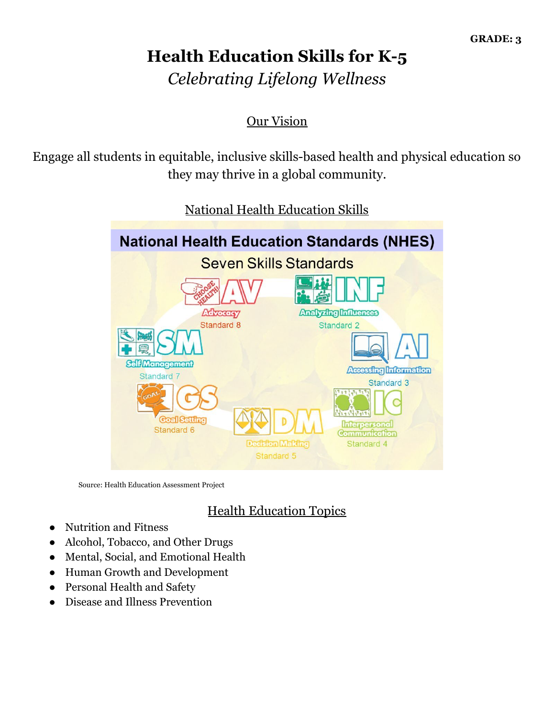# **Health Education Skills for K-5** *Celebrating Lifelong Wellness*

### Our Vision

Engage all students in equitable, inclusive skills-based health and physical education so they may thrive in a global community.



National Health Education Skills

Source: Health Education Assessment Project

# Health Education Topics

- Nutrition and Fitness
- Alcohol, Tobacco, and Other Drugs
- Mental, Social, and Emotional Health
- Human Growth and Development
- Personal Health and Safety
- Disease and Illness Prevention